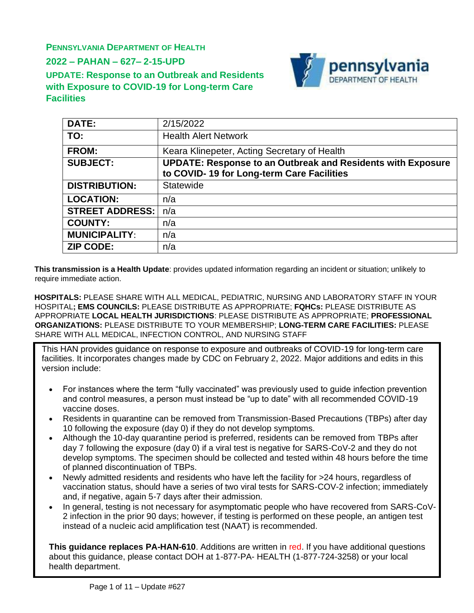**PENNSYLVANIA DEPARTMENT OF HEALTH**

**2022 – PAHAN – 627– 2-15-UPD**

**Facilities**

**UPDATE: Response to an Outbreak and Residents with Exposure to COVID-19 for Long-term Care**



| DATE:                  | 2/15/2022                                                          |
|------------------------|--------------------------------------------------------------------|
| TO:                    | <b>Health Alert Network</b>                                        |
| <b>FROM:</b>           | Keara Klinepeter, Acting Secretary of Health                       |
| <b>SUBJECT:</b>        | <b>UPDATE: Response to an Outbreak and Residents with Exposure</b> |
|                        | to COVID-19 for Long-term Care Facilities                          |
| <b>DISTRIBUTION:</b>   | Statewide                                                          |
| <b>LOCATION:</b>       | n/a                                                                |
| <b>STREET ADDRESS:</b> | n/a                                                                |
| <b>COUNTY:</b>         | n/a                                                                |
| <b>MUNICIPALITY:</b>   | n/a                                                                |
| <b>ZIP CODE:</b>       | n/a                                                                |

**This transmission is a Health Update**: provides updated information regarding an incident or situation; unlikely to require immediate action.

**HOSPITALS:** PLEASE SHARE WITH ALL MEDICAL, PEDIATRIC, NURSING AND LABORATORY STAFF IN YOUR HOSPITAL**; EMS COUNCILS:** PLEASE DISTRIBUTE AS APPROPRIATE; **FQHCs:** PLEASE DISTRIBUTE AS APPROPRIATE **LOCAL HEALTH JURISDICTIONS**: PLEASE DISTRIBUTE AS APPROPRIATE; **PROFESSIONAL ORGANIZATIONS:** PLEASE DISTRIBUTE TO YOUR MEMBERSHIP; **LONG-TERM CARE FACILITIES:** PLEASE SHARE WITH ALL MEDICAL, INFECTION CONTROL, AND NURSING STAFF

This HAN provides guidance on response to exposure and outbreaks of COVID-19 for long-term care facilities. It incorporates changes made by CDC on February 2, 2022. Major additions and edits in this version include:

- For instances where the term "fully vaccinated" was previously used to quide infection prevention and control measures, a person must instead be "up to date" with all recommended COVID-19 vaccine doses.
- Residents in quarantine can be removed from Transmission-Based Precautions (TBPs) after day 10 following the exposure (day 0) if they do not develop symptoms.
- Although the 10-day quarantine period is preferred, residents can be removed from TBPs after day 7 following the exposure (day 0) if a viral test is negative for SARS-CoV-2 and they do not develop symptoms. The specimen should be collected and tested within 48 hours before the time of planned discontinuation of TBPs.
- Newly admitted residents and residents who have left the facility for >24 hours, regardless of vaccination status, should have a series of two viral tests for SARS-COV-2 infection; immediately and, if negative, again 5-7 days after their admission.
- In general, testing is not necessary for asymptomatic people who have recovered from SARS-CoV-2 infection in the prior 90 days; however, if testing is performed on these people, an antigen test instead of a nucleic acid amplification test (NAAT) is recommended.

**This guidance replaces PA-HAN-610**. Additions are written in red. If you have additional questions about this guidance, please contact DOH at 1-877-PA- HEALTH (1-877-724-3258) or your local health department.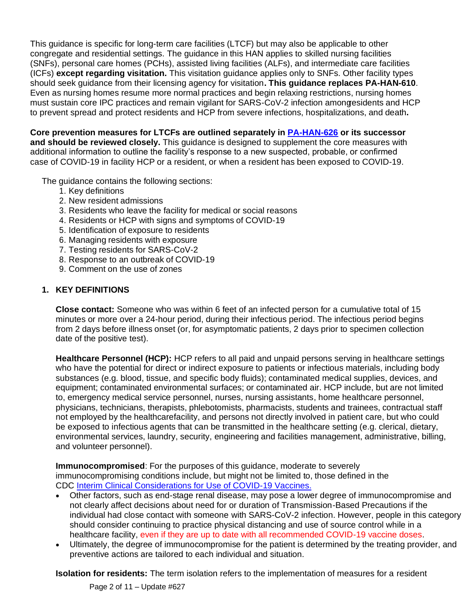This guidance is specific for long-term care facilities (LTCF) but may also be applicable to other congregate and residential settings. The guidance in this HAN applies to skilled nursing facilities (SNFs), personal care homes (PCHs), assisted living facilities (ALFs), and intermediate care facilities (ICFs) **except regarding visitation.** This visitation guidance applies only to SNFs. Other facility types should seek guidance from their licensing agency for visitation**. This guidance replaces PA-HAN-610**. Even as nursing homes resume more normal practices and begin relaxing restrictions, nursing homes must sustain core IPC practices and remain vigilant for SARS-CoV-2 infection amongesidents and HCP to prevent spread and protect residents and HCP from severe infections, hospitalizations, and death**.**

**Core prevention measures for LTCFs are outlined separately in [PA-HAN-626](https://www.health.pa.gov/topics/Documents/HAN/2022-626-2-15-UPD-Core%20Prevention.pdf) or its successor and should be reviewed closely.** This guidance is designed to supplement the core measures with additional information to outline the facility's response to a new suspected, probable, or confirmed case of COVID-19 in facility HCP or a resident, or when a resident has been exposed to COVID-19.

The guidance contains the following sections:

- 1. Key definitions
- 2. New resident admissions
- 3. Residents who leave the facility for medical or social reasons
- 4. Residents or HCP with signs and symptoms of COVID-19
- 5. Identification of exposure to residents
- 6. Managing residents with exposure
- 7. Testing residents for SARS-CoV-2
- 8. Response to an outbreak of COVID-19
- 9. Comment on the use of zones

### **1. KEY DEFINITIONS**

**Close contact:** Someone who was within 6 feet of an infected person for a cumulative total of 15 minutes or more over a 24-hour period, during their infectious period. The infectious period begins from 2 days before illness onset (or, for asymptomatic patients, 2 days prior to specimen collection date of the positive test).

**Healthcare Personnel (HCP):** HCP refers to all paid and unpaid persons serving in healthcare settings who have the potential for direct or indirect exposure to patients or infectious materials, including body substances (e.g. blood, tissue, and specific body fluids); contaminated medical supplies, devices, and equipment; contaminated environmental surfaces; or contaminated air. HCP include, but are not limited to, emergency medical service personnel, nurses, nursing assistants, home healthcare personnel, physicians, technicians, therapists, phlebotomists, pharmacists, students and trainees, contractual staff not employed by the healthcarefacility, and persons not directly involved in patient care, but who could be exposed to infectious agents that can be transmitted in the healthcare setting (e.g. clerical, dietary, environmental services, laundry, security, engineering and facilities management, administrative, billing, and volunteer personnel).

**Immunocompromised**: For the purposes of this guidance, moderate to severely immunocompromising conditions include, but might not be limited to, those defined in the CDC Interim Clinical Considerations for Use of [COVID-19 Vaccines.](https://www.cdc.gov/vaccines/covid-19/clinical-considerations/covid-19-vaccines-us.html?CDC_AA_refVal=https%3A%2F%2Fwww.cdc.gov%2Fvaccines%2Fcovid-19%2Finfo-by-product%2Fclinical-considerations.html)

- Other factors, such as end-stage renal disease, may pose a lower degree of immunocompromise and not clearly affect decisions about need for or duration of Transmission-Based Precautions if the individual had close contact with someone with SARS-CoV-2 infection. However, people in this category should consider continuing to practice physical distancing and use of source control while in a healthcare facility, even if they are up to date with all recommended COVID-19 vaccine doses.
- Ultimately, the degree of immunocompromise for the patient is determined by the treating provider, and preventive actions are tailored to each individual and situation.

**Isolation for residents:** The term isolation refers to the implementation of measures for a resident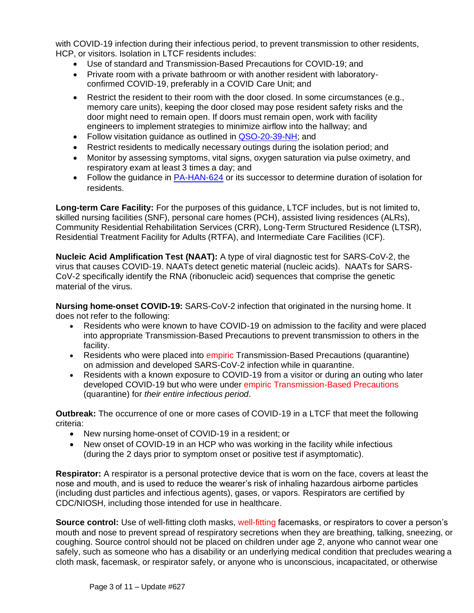with COVID-19 infection during their infectious period, to prevent transmission to other residents, HCP, or visitors. Isolation in LTCF residents includes:

- Use of standard and Transmission-Based Precautions for COVID-19; and
- Private room with a private bathroom or with another resident with laboratoryconfirmed COVID-19, preferably in a COVID Care Unit; and
- Restrict the resident to their room with the door closed. In some circumstances (e.g., memory care units), keeping the door closed may pose resident safety risks and the door might need to remain open. If doors must remain open, work with facility engineers to implement strategies to minimize airflow into the hallway; and
- Follow visitation guidance as outlined in [QSO-20-39-NH;](https://www.cms.gov/files/document/qso-20-39-nh-revised.pdf) and
- Restrict residents to medically necessary outings during the isolation period; and
- Monitor by assessing symptoms, vital signs, oxygen saturation via pulse oximetry, and respiratory exam at least 3 times a day; and
- Follow the guidance in [PA-HAN-624](https://www.health.pa.gov/topics/Documents/HAN/2022-624-2-8-UPD-IPC%20for%20Healthcare.pdf) or its successor to determine duration of isolation for residents.

**Long-term Care Facility:** For the purposes of this guidance, LTCF includes, but is not limited to, skilled nursing facilities (SNF), personal care homes (PCH), assisted living residences (ALRs), Community Residential Rehabilitation Services (CRR), Long-Term Structured Residence (LTSR), Residential Treatment Facility for Adults (RTFA), and Intermediate Care Facilities (ICF).

**Nucleic Acid Amplification Test (NAAT):** A type of viral diagnostic test for SARS-CoV-2, the virus that causes COVID-19. NAATs detect genetic material (nucleic acids). NAATs for SARS-CoV-2 specifically identify the RNA (ribonucleic acid) sequences that comprise the genetic material of the virus.

**Nursing home-onset COVID-19:** SARS-CoV-2 infection that originated in the nursing home. It does not refer to the following:

- Residents who were known to have COVID-19 on admission to the facility and were placed into appropriate Transmission-Based Precautions to prevent transmission to others in the facility.
- Residents who were placed into empiric Transmission-Based Precautions (quarantine) on admission and developed SARS-CoV-2 infection while in quarantine.
- Residents with a known exposure to COVID-19 from a visitor or during an outing who later developed COVID-19 but who were under empiric Transmission-Based Precautions (quarantine) for *their entire infectious period*.

**Outbreak:** The occurrence of one or more cases of COVID-19 in a LTCF that meet the following criteria:

- New nursing home-onset of COVID-19 in a resident; or
- New onset of COVID-19 in an HCP who was working in the facility while infectious (during the 2 days prior to symptom onset or positive test if asymptomatic).

**Respirator:** A respirator is a personal protective device that is worn on the face, covers at least the nose and mouth, and is used to reduce the wearer's risk of inhaling hazardous airborne particles (including dust particles and infectious agents), gases, or vapors. Respirators are certified by CDC/NIOSH, including those intended for use in healthcare.

**Source control:** Use of well-fitting cloth masks, well-fitting facemasks, or respirators to cover a person's mouth and nose to prevent spread of respiratory secretions when they are breathing, talking, sneezing, or coughing. Source control should not be placed on children under age 2, anyone who cannot wear one safely, such as someone who has a disability or an underlying medical condition that precludes wearing a cloth mask, facemask, or respirator safely, or anyone who is unconscious, incapacitated, or otherwise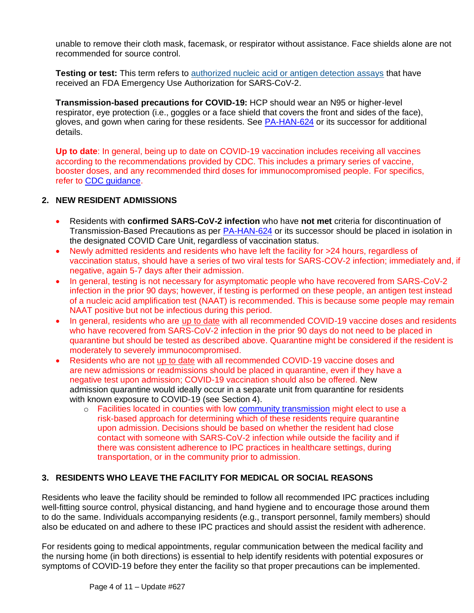unable to remove their cloth mask, facemask, or respirator without assistance. Face shields alone are not recommended for source control.

**Testing or test:** This term refers to [authorized nucleic acid or antigen detection assays](https://www.fda.gov/medical-devices/emergency-situations-medical-devices/emergency-use-authorizations) that have received an FDA Emergency Use Authorization for SARS-CoV-2.

**Transmission-based precautions for COVID-19:** HCP should wear an N95 or higher-level respirator, eye protection (i.e., goggles or a face shield that covers the front and sides of the face), gloves, and gown when caring for these residents. See [PA-HAN-624](https://www.health.pa.gov/topics/Documents/HAN/2022-624-2-8-UPD-IPC%20for%20Healthcare.pdf) or its successor for additional details.

<span id="page-3-0"></span>**Up to date**: In general, being up to date on COVID-19 vaccination includes receiving all vaccines according to the recommendations provided by CDC. This includes a primary series of vaccine, booster doses, and any recommended third doses for immunocompromised people. For specifics, refer to [CDC guidance.](https://www.cdc.gov/coronavirus/2019-ncov/vaccines/stay-up-to-date.html)

### **2. NEW RESIDENT ADMISSIONS**

- Residents with **confirmed SARS-CoV-2 infection** who have **not met** criteria for discontinuation of Transmission-Based Precautions as per [PA-HAN-624](https://www.health.pa.gov/topics/Documents/HAN/2022-624-2-8-UPD-IPC%20for%20Healthcare.pdf) or its successor should be placed in isolation in the designated COVID Care Unit, regardless of vaccination status.
- Newly admitted residents and residents who have left the facility for >24 hours, regardless of vaccination status, should have a series of two viral tests for SARS-COV-2 infection; immediately and, if negative, again 5-7 days after their admission.
- In general, testing is not necessary for asymptomatic people who have recovered from SARS-CoV-2 infection in the prior 90 days; however, if testing is performed on these people, an antigen test instead of a nucleic acid amplification test (NAAT) is recommended. This is because some people may remain NAAT positive but not be infectious during this period.
- In general, residents who are [up to date](#page-3-0) with all recommended COVID-19 vaccine doses and residents who have recovered from SARS-CoV-2 infection in the prior 90 days do not need to be placed in quarantine but should be tested as described above. Quarantine might be considered if the resident is moderately to severely immunocompromised.
- Residents who are not [up to date](#page-3-0) with all recommended COVID-19 vaccine doses and are new admissions or readmissions should be placed in quarantine, even if they have a negative test upon admission; COVID-19 vaccination should also be offered. New admission quarantine would ideally occur in a separate unit from quarantine for residents with known exposure to COVID-19 (see Section 4).
	- $\circ$  Facilities located in counties with low [community transmission](https://covid.cdc.gov/covid-data-tracker/#county-view?list_select_state=all_states&list_select_county=all_counties&data-type=Risk) might elect to use a risk-based approach for determining which of these residents require quarantine upon admission. Decisions should be based on whether the resident had close contact with someone with SARS-CoV-2 infection while outside the facility and if there was consistent adherence to IPC practices in healthcare settings, during transportation, or in the community prior to admission.

### **3. RESIDENTS WHO LEAVE THE FACILITY FOR MEDICAL OR SOCIAL REASONS**

Residents who leave the facility should be reminded to follow all recommended IPC practices including well-fitting source control, physical distancing, and hand hygiene and to encourage those around them to do the same. Individuals accompanying residents (e.g., transport personnel, family members) should also be educated on and adhere to these IPC practices and should assist the resident with adherence.

For residents going to medical appointments, regular communication between the medical facility and the nursing home (in both directions) is essential to help identify residents with potential exposures or symptoms of COVID-19 before they enter the facility so that proper precautions can be implemented.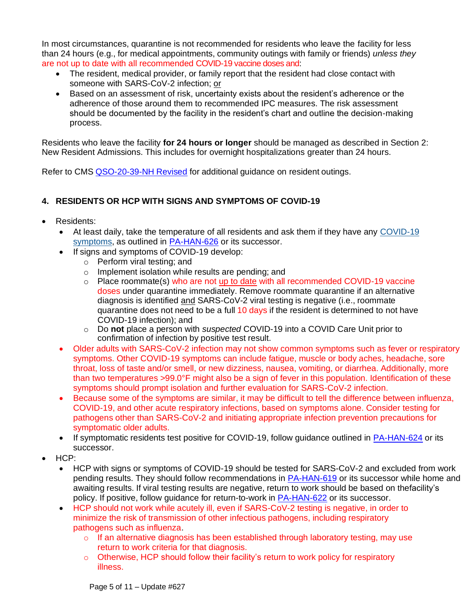In most circumstances, quarantine is not recommended for residents who leave the facility for less than 24 hours (e.g., for medical appointments, community outings with family or friends) *unless they* are not up to date with all recommended COVID-19 vaccine doses and:

- The resident, medical provider, or family report that the resident had close contact with someone with SARS-CoV-2 infection; or
- Based on an assessment of risk, uncertainty exists about the resident's adherence or the adherence of those around them to recommended IPC measures. The risk assessment should be documented by the facility in the resident's chart and outline the decision-making process.

Residents who leave the facility **for 24 hours or longer** should be managed as described in Section 2: New Resident Admissions. This includes for overnight hospitalizations greater than 24 hours.

Refer to CMS [QSO-20-39-NH](https://www.cms.gov/files/document/qso-20-39-nh-revised.pdf) Revised for additional guidance on resident outings.

# **4. RESIDENTS OR HCP WITH SIGNS AND SYMPTOMS OF COVID-19**

- Residents:
	- At least daily, take the temperature of all residents and ask them if they have any [COVID-19](https://www.cdc.gov/coronavirus/2019-ncov/symptoms-testing/symptoms.html) [symptoms,](https://www.cdc.gov/coronavirus/2019-ncov/symptoms-testing/symptoms.html) as outlined in [PA-HAN-626](https://www.health.pa.gov/topics/Documents/HAN/2022-626-2-15-UPD-Core%20Prevention.pdf) or its successor.
	- If signs and symptoms of COVID-19 develop:
		- o Perform viral testing; and
		- o Implement isolation while results are pending; and
		- o Place roommate(s) who are not [up to date](#page-3-0) with all recommended COVID-19 vaccine doses under quarantine immediately. Remove roommate quarantine if an alternative diagnosis is identified and SARS-CoV-2 viral testing is negative (i.e., roommate quarantine does not need to be a full 10 days if the resident is determined to not have COVID-19 infection); and
		- o Do **not** place a person with *suspected* COVID-19 into a COVID Care Unit prior to confirmation of infection by positive test result.
	- Older adults with SARS-CoV-2 infection may not show common symptoms such as fever or respiratory symptoms. Other COVID-19 symptoms can include fatigue, muscle or body aches, headache, sore throat, loss of taste and/or smell, or new dizziness, nausea, vomiting, or diarrhea. Additionally, more than two temperatures >99.0°F might also be a sign of fever in this population. Identification of these symptoms should prompt isolation and further evaluation for SARS-CoV-2 infection.
	- Because some of the symptoms are similar, it may be difficult to tell the difference between influenza, COVID-19, and other acute respiratory infections, based on symptoms alone. Consider testing for pathogens other than SARS-CoV-2 and initiating appropriate infection prevention precautions for symptomatic older adults.
	- If symptomatic residents test positive for COVID-19, follow guidance outlined in **[PA-HAN-624](https://www.health.pa.gov/topics/Documents/HAN/2022-624-2-8-UPD-IPC%20for%20Healthcare.pdf)** or its successor.
- HCP:
	- HCP with signs or symptoms of COVID-19 should be tested for SARS-CoV-2 and excluded from work pending results. They should follow recommendations in [PA-HAN-619](https://www.health.pa.gov/topics/Documents/HAN/2022-619-1-7-UPD-COVID-19%20Isolation.pdf) or its successor while home and awaiting results. If viral testing results are negative, return to work should be based on thefacility's policy. If positive, follow guidance for return-to-work in [PA-HAN-622](https://www.health.pa.gov/topics/Documents/HAN/2021-622-1-25-UPD-Return_Work%20HCP.pdf) or its successor.
	- HCP should not work while acutely ill, even if SARS-CoV-2 testing is negative, in order to minimize the risk of transmission of other infectious pathogens, including respiratory pathogens such as influenza.
		- $\circ$  If an alternative diagnosis has been established through laboratory testing, may use return to work criteria for that diagnosis.
		- $\circ$  Otherwise, HCP should follow their facility's return to work policy for respiratory illness.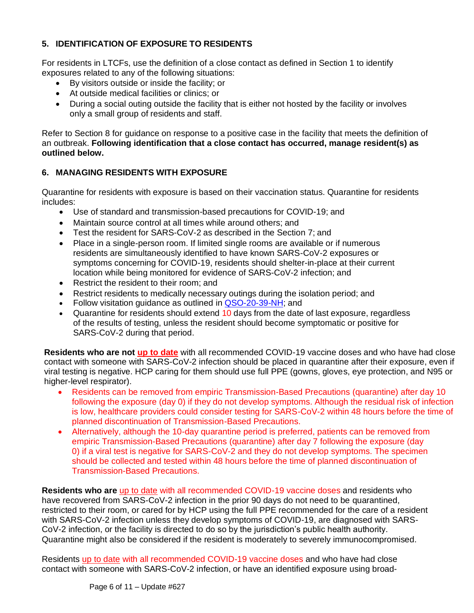# **5. IDENTIFICATION OF EXPOSURE TO RESIDENTS**

For residents in LTCFs, use the definition of a close contact as defined in Section 1 to identify exposures related to any of the following situations:

- By visitors outside or inside the facility; or
- At outside medical facilities or clinics; or
- During a social outing outside the facility that is either not hosted by the facility or involves only a small group of residents and staff.

Refer to Section 8 for guidance on response to a positive case in the facility that meets the definition of an outbreak. **Following identification that a close contact has occurred, manage resident(s) as outlined below.**

# **6. MANAGING RESIDENTS WITH EXPOSURE**

Quarantine for residents with exposure is based on their vaccination status. Quarantine for residents includes:

- Use of standard and transmission-based precautions for COVID-19; and
- Maintain source control at all times while around others; and
- Test the resident for SARS-CoV-2 as described in the Section 7; and
- Place in a single-person room. If limited single rooms are available or if numerous residents are simultaneously identified to have known SARS-CoV-2 exposures or symptoms concerning for COVID-19, residents should shelter-in-place at their current location while being monitored for evidence of SARS-CoV-2 infection; and
- Restrict the resident to their room; and
- Restrict residents to medically necessary outings during the isolation period; and
- Follow visitation guidance as outlined in [QSO-20-39-NH;](https://www.cms.gov/files/document/qso-20-39-nh-revised.pdf) and
- Quarantine for residents should extend 10 days from the date of last exposure, regardless of the results of testing, unless the resident should become symptomatic or positive for SARS-CoV-2 during that period.

**Residents who are not [up to date](#page-3-0)** with all recommended COVID-19 vaccine doses and who have had close contact with someone with SARS-CoV-2 infection should be placed in quarantine after their exposure, even if viral testing is negative. HCP caring for them should use full PPE (gowns, gloves, eye protection, and N95 or higher-level respirator).

- Residents can be removed from empiric Transmission-Based Precautions (quarantine) after day 10 following the exposure (day 0) if they do not develop symptoms. Although the residual risk of infection is low, healthcare providers could consider testing for SARS-CoV-2 within 48 hours before the time of planned discontinuation of Transmission-Based Precautions.
- Alternatively, although the 10-day quarantine period is preferred, patients can be removed from empiric Transmission-Based Precautions (quarantine) after day 7 following the exposure (day 0) if a viral test is negative for SARS-CoV-2 and they do not develop symptoms. The specimen should be collected and tested within 48 hours before the time of planned discontinuation of Transmission-Based Precautions.

**Residents who are** [up to date](#page-3-0) with all recommended COVID-19 vaccine doses and residents who have recovered from SARS-CoV-2 infection in the prior 90 days do not need to be quarantined, restricted to their room, or cared for by HCP using the full PPE recommended for the care of a resident with SARS-CoV-2 infection unless they develop symptoms of COVID-19, are diagnosed with SARS-CoV-2 infection, or the facility is directed to do so by the jurisdiction's public health authority. Quarantine might also be considered if the resident is moderately to severely immunocompromised.

Residents [up to date](#page-3-0) with all recommended COVID-19 vaccine doses and who have had close contact with someone with SARS-CoV-2 infection, or have an identified exposure using broad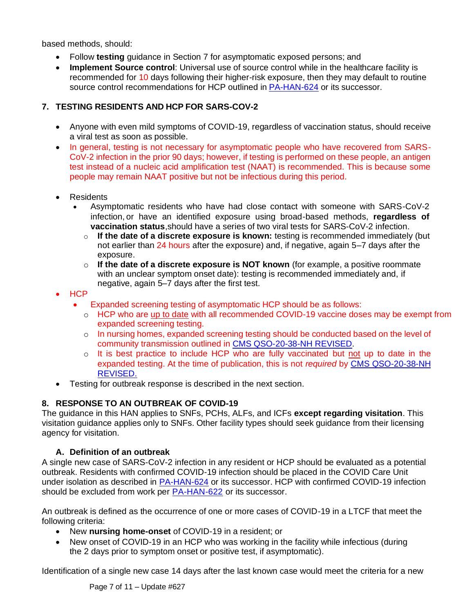based methods, should:

- Follow **testing** guidance in Section 7 for asymptomatic exposed persons; and
- **Implement Source control**: Universal use of source control while in the healthcare facility is recommended for 10 days following their higher-risk exposure, then they may default to routine source control recommendations for HCP outlined in [PA-HAN-624](https://www.health.pa.gov/topics/Documents/HAN/2022-624-2-8-UPD-IPC%20for%20Healthcare.pdf) or its successor.

# **7. TESTING RESIDENTS AND HCP FOR SARS-COV-2**

- Anyone with even mild symptoms of COVID-19, regardless of vaccination status, should receive a viral test as soon as possible.
- In general, testing is not necessary for asymptomatic people who have recovered from SARS-CoV-2 infection in the prior 90 days; however, if testing is performed on these people, an antigen test instead of a nucleic acid amplification test (NAAT) is recommended. This is because some people may remain NAAT positive but not be infectious during this period.
- Residents
	- Asymptomatic residents who have had close contact with someone with SARS-CoV-2 infection, or have an identified exposure using broad-based methods, **regardless of vaccination status**,should have a series of two viral tests for SARS-CoV-2 infection.
		- o **If the date of a discrete exposure is known:** testing is recommended immediately (but not earlier than 24 hours after the exposure) and, if negative, again 5–7 days after the exposure.
		- o **If the date of a discrete exposure is NOT known** (for example, a positive roommate with an unclear symptom onset date): testing is recommended immediately and, if negative, again 5–7 days after the first test.
- HCP
	- Expanded screening testing of asymptomatic HCP should be as follows:
		- o HCP who are [up to date](#page-3-0) with all recommended COVID-19 vaccine doses may be exempt from expanded screening testing.
		- o In nursing homes, expanded screening testing should be conducted based on the level of community transmission outlined in CMS [QSO-20-38-NH](https://www.cms.gov/files/document/qso-20-38-nh-revised.pdf) REVISED.
		- o It is best practice to include HCP who are fully vaccinated but not up to date in the expanded testing. At the time of publication, this is not *required* by CMS [QSO-20-38-NH](https://www.cms.gov/files/document/qso-20-38-nh-revised.pdf) [REVISED.](https://www.cms.gov/files/document/qso-20-38-nh-revised.pdf)
- Testing for outbreak response is described in the next section.

### **8. RESPONSE TO AN OUTBREAK OF COVID-19**

The guidance in this HAN applies to SNFs, PCHs, ALFs, and ICFs **except regarding visitation**. This visitation guidance applies only to SNFs. Other facility types should seek guidance from their licensing agency for visitation.

### **A. Definition of an outbreak**

A single new case of SARS-CoV-2 infection in any resident or HCP should be evaluated as a potential outbreak. Residents with confirmed COVID-19 infection should be placed in the COVID Care Unit under isolation as described in [PA-HAN-624](https://www.health.pa.gov/topics/Documents/HAN/2022-624-2-8-UPD-IPC%20for%20Healthcare.pdf) or its successor. HCP with confirmed COVID-19 infection should be excluded from work per [PA-HAN-622](https://www.health.pa.gov/topics/Documents/HAN/2021-622-1-25-UPD-Return_Work%20HCP.pdf) or its successor.

An outbreak is defined as the occurrence of one or more cases of COVID-19 in a LTCF that meet the following criteria:

- New **nursing home-onset** of COVID-19 in a resident; or
- New onset of COVID-19 in an HCP who was working in the facility while infectious (during the 2 days prior to symptom onset or positive test, if asymptomatic).

Identification of a single new case 14 days after the last known case would meet the criteria for a new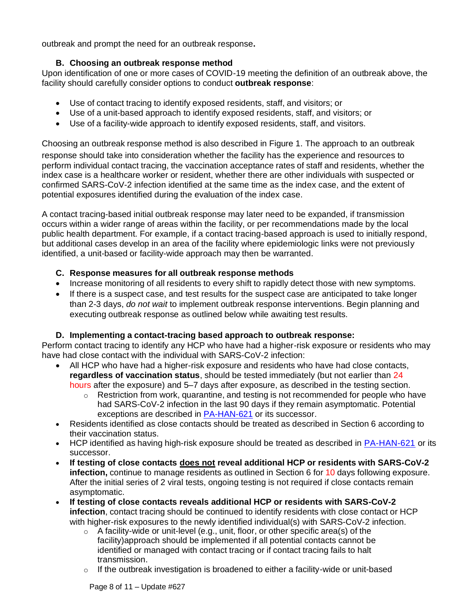outbreak and prompt the need for an outbreak response**.**

# **B. Choosing an outbreak response method**

Upon identification of one or more cases of COVID-19 meeting the definition of an outbreak above, the facility should carefully consider options to conduct **outbreak response**:

- Use of contact tracing to identify exposed residents, staff, and visitors; or
- Use of a unit-based approach to identify exposed residents, staff, and visitors; or
- Use of a facility-wide approach to identify exposed residents, staff, and visitors.

Choosing an outbreak response method is also described in Figure 1. The approach to an outbreak

response should take into consideration whether the facility has the experience and resources to perform individual contact tracing, the vaccination acceptance rates of staff and residents, whether the index case is a healthcare worker or resident, whether there are other individuals with suspected or confirmed SARS-CoV-2 infection identified at the same time as the index case, and the extent of potential exposures identified during the evaluation of the index case.

A contact tracing-based initial outbreak response may later need to be expanded, if transmission occurs within a wider range of areas within the facility, or per recommendations made by the local public health department. For example, if a contact tracing-based approach is used to initially respond, but additional cases develop in an area of the facility where epidemiologic links were not previously identified, a unit-based or facility-wide approach may then be warranted.

### **C. Response measures for all outbreak response methods**

- Increase monitoring of all residents to every shift to rapidly detect those with new symptoms.
- If there is a suspect case, and test results for the suspect case are anticipated to take longer than 2-3 days, *do not wait* to implement outbreak response interventions. Begin planning and executing outbreak response as outlined below while awaiting test results.

### **D. Implementing a contact-tracing based approach to outbreak response:**

Perform contact tracing to identify any HCP who have had a higher-risk exposure or residents who may have had close contact with the individual with SARS-CoV-2 infection:

- All HCP who have had a higher-risk exposure and residents who have had close contacts, **regardless of vaccination status**, should be tested immediately (but not earlier than 24 hours after the exposure) and 5–7 days after exposure, as described in the testing section.
	- o Restriction from work, quarantine, and testing is not recommended for people who have had SARS-CoV-2 infection in the last 90 days if they remain asymptomatic. Potential exceptions are described in [PA-HAN-621](https://www.health.pa.gov/topics/Documents/HAN/2022-621-01-25-UPD-HCP%20restrictions.pdf) or its successor.
- Residents identified as close contacts should be treated as described in Section 6 according to their vaccination status.
- HCP identified as having high-risk exposure should be treated as described in [PA-HAN-621](https://www.health.pa.gov/topics/Documents/HAN/2022-621-01-25-UPD-HCP%20restrictions.pdf) or its successor.
- **If testing of close contacts does not reveal additional HCP or residents with SARS-CoV-2 infection,** continue to manage residents as outlined in Section 6 for 10 days following exposure. After the initial series of 2 viral tests, ongoing testing is not required if close contacts remain asymptomatic.
- **If testing of close contacts reveals additional HCP or residents with SARS-CoV-2 infection**, contact tracing should be continued to identify residents with close contact or HCP with higher-risk exposures to the newly identified individual(s) with SARS-CoV-2 infection.
	- $\circ$  A facility-wide or unit-level (e.g., unit, floor, or other specific area(s) of the facility)approach should be implemented if all potential contacts cannot be identified or managed with contact tracing or if contact tracing fails to halt transmission.
	- $\circ$  If the outbreak investigation is broadened to either a facility-wide or unit-based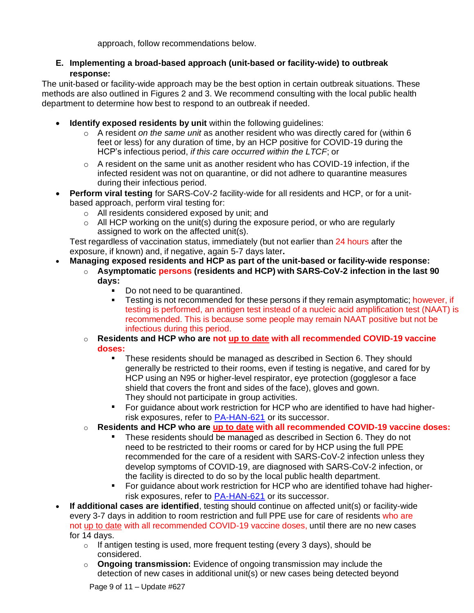approach, follow recommendations below.

### **E. Implementing a broad-based approach (unit-based or facility-wide) to outbreak response:**

The unit-based or facility-wide approach may be the best option in certain outbreak situations. These methods are also outlined in Figures 2 and 3. We recommend consulting with the local public health department to determine how best to respond to an outbreak if needed.

- **Identify exposed residents by unit** within the following guidelines:
	- o A resident *on the same unit* as another resident who was directly cared for (within 6 feet or less) for any duration of time, by an HCP positive for COVID-19 during the HCP's infectious period, *if this care occurred within the LTCF*; or
	- $\circ$  A resident on the same unit as another resident who has COVID-19 infection, if the infected resident was not on quarantine, or did not adhere to quarantine measures during their infectious period.
- **Perform viral testing** for SARS-CoV-2 facility-wide for all residents and HCP, or for a unitbased approach, perform viral testing for:
	- o All residents considered exposed by unit; and
	- $\circ$  All HCP working on the unit(s) during the exposure period, or who are regularly assigned to work on the affected unit(s).

Test regardless of vaccination status, immediately (but not earlier than 24 hours after the exposure, if known) and, if negative, again 5-7 days later**.**

- **Managing exposed residents and HCP as part of the unit-based or facility-wide response:**
	- o **Asymptomatic persons (residents and HCP) with SARS-CoV-2 infection in the last 90 days:**
		- Do not need to be quarantined.
		- a. Testing is not recommended for these persons if they remain asymptomatic; however, if testing is performed, an antigen test instead of a nucleic acid amplification test (NAAT) is recommended. This is because some people may remain NAAT positive but not be infectious during this period.
		- o **Residents and HCP who are not [up to date](#page-3-0) with all recommended COVID-19 vaccine doses:**
			- These residents should be managed as described in Section 6. They should generally be restricted to their rooms, even if testing is negative, and cared for by HCP using an N95 or higher-level respirator, eye protection (gogglesor a face shield that covers the front and sides of the face), gloves and gown. They should not participate in group activities.
			- For guidance about work restriction for HCP who are identified to have had higherrisk exposures, refer to [PA-HAN-621](https://www.health.pa.gov/topics/Documents/HAN/2022-621-01-25-UPD-HCP%20restrictions.pdf) or its successor.
		- o **Residents and HCP who are [up to date](#page-3-0) with all recommended COVID-19 vaccine doses:**
			- These residents should be managed as described in Section 6. They do not need to be restricted to their rooms or cared for by HCP using the full PPE recommended for the care of a resident with SARS-CoV-2 infection unless they develop symptoms of COVID-19, are diagnosed with SARS-CoV-2 infection, or the facility is directed to do so by the local public health department.
			- For guidance about work restriction for HCP who are identified tohave had higherrisk exposures, refer to [PA-HAN-621](https://www.health.pa.gov/topics/Documents/HAN/2022-621-01-25-UPD-HCP%20restrictions.pdf) or its successor.
- **If additional cases are identified**, testing should continue on affected unit(s) or facility-wide every 3-7 days in addition to room restriction and full PPE use for care of residents who are not [up to date](#page-3-0) with all recommended COVID-19 vaccine doses, until there are no new cases for 14 days.
	- o If antigen testing is used, more frequent testing (every 3 days), should be considered.
	- o **Ongoing transmission:** Evidence of ongoing transmission may include the detection of new cases in additional unit(s) or new cases being detected beyond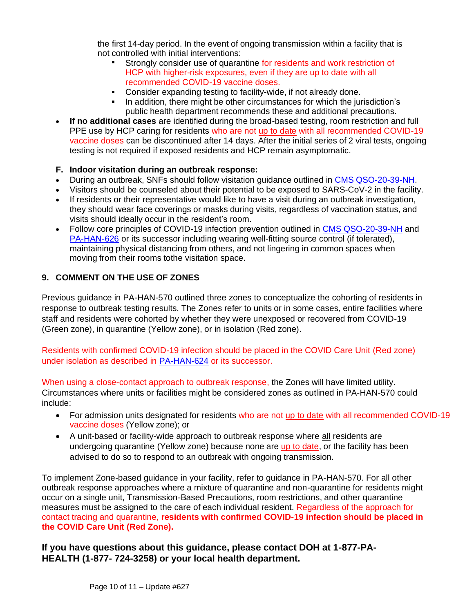the first 14-day period. In the event of ongoing transmission within a facility that is not controlled with initial interventions:

- Strongly consider use of quarantine for residents and work restriction of HCP with higher-risk exposures, even if they are up to date with all recommended COVID-19 vaccine doses.
- $\mathbf{E}^{\text{max}}$ Consider expanding testing to facility-wide, if not already done.
- $\mathbf{r}$ In addition, there might be other circumstances for which the jurisdiction's public health department recommends these and additional precautions.
- **If no additional cases** are identified during the broad-based testing, room restriction and full PPE use by HCP caring for residents who are not [up to date](#page-3-0) with all recommended COVID-19 vaccine doses can be discontinued after 14 days. After the initial series of 2 viral tests, ongoing testing is not required if exposed residents and HCP remain asymptomatic.

### **F. Indoor visitation during an outbreak response:**

- During an outbreak, SNFs should follow visitation guidance outlined in CMS [QSO-20-39-NH.](https://www.cms.gov/medicareprovider-enrollment-and-certificationsurveycertificationgeninfopolicy-and-memos-states-and/nursing-home-visitation-covid-19-revised)
- Visitors should be counseled about their potential to be exposed to SARS-CoV-2 in the facility.
- If residents or their representative would like to have a visit during an outbreak investigation, they should wear face coverings or masks during visits, regardless of vaccination status, and visits should ideally occur in the resident's room.
- Follow core principles of COVID-19 infection prevention outlined in [CMS QSO-20-39-NH](https://www.cms.gov/medicareprovider-enrollment-and-certificationsurveycertificationgeninfopolicy-and-memos-states-and/nursing-home-visitation-covid-19-revised) and [PA-HAN-626](https://www.health.pa.gov/topics/Documents/HAN/2022-626-2-15-UPD-Core%20Prevention.pdf) or its successor including wearing well-fitting source control (if tolerated), maintaining physical distancing from others, and not lingering in common spaces when moving from their rooms tothe visitation space.

### **9. COMMENT ON THE USE OF ZONES**

Previous guidance in PA-HAN-570 outlined three zones to conceptualize the cohorting of residents in response to outbreak testing results. The Zones refer to units or in some cases, entire facilities where staff and residents were cohorted by whether they were unexposed or recovered from COVID-19 (Green zone), in quarantine (Yellow zone), or in isolation (Red zone).

Residents with confirmed COVID-19 infection should be placed in the COVID Care Unit (Red zone) under isolation as described in [PA-HAN-624](https://www.health.pa.gov/topics/Documents/HAN/2022-624-2-8-UPD-IPC%20for%20Healthcare.pdf) or its successor.

When using a close-contact approach to outbreak response, the Zones will have limited utility. Circumstances where units or facilities might be considered zones as outlined in PA-HAN-570 could include:

- For admission units designated for residents who are not [up to date](#page-3-0) with all recommended COVID-19 vaccine doses (Yellow zone); or
- A unit-based or facility-wide approach to outbreak response where all residents are undergoing quarantine (Yellow zone) because none are up to date, or the facility has been advised to do so to respond to an outbreak with ongoing transmission.

To implement Zone-based guidance in your facility, refer to guidance in PA-HAN-570. For all other outbreak response approaches where a mixture of quarantine and non-quarantine for residents might occur on a single unit, Transmission-Based Precautions, room restrictions, and other quarantine measures must be assigned to the care of each individual resident. Regardless of the approach for contact tracing and quarantine, **residents with confirmed COVID-19 infection should be placed in the COVID Care Unit (Red Zone).**

**If you have questions about this guidance, please contact DOH at 1-877-PA-HEALTH (1-877- 724-3258) or your local health department.**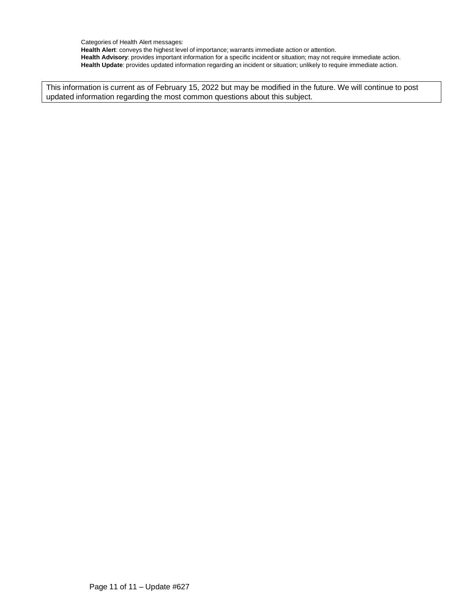Categories of Health Alert messages: **Health Alert**: conveys the highest level of importance; warrants immediate action or attention. **Health Advisory**: provides important information for a specific incident or situation; may not require immediate action. **Health Update**: provides updated information regarding an incident or situation; unlikely to require immediate action.

This information is current as of February 15, 2022 but may be modified in the future. We will continue to post updated information regarding the most common questions about this subject.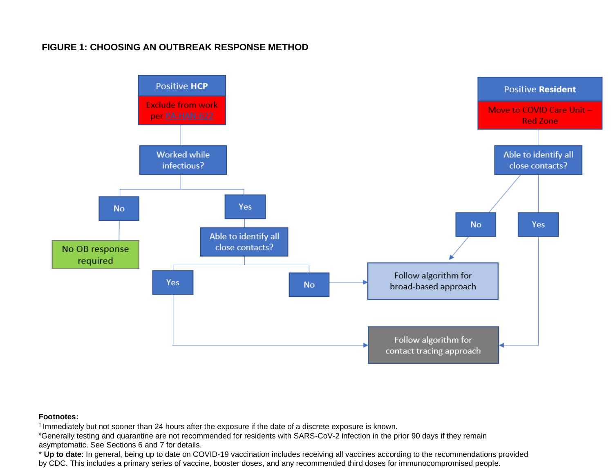# **FIGURE 1: CHOOSING AN OUTBREAK RESPONSE METHOD**



#### **Footnotes:**

† Immediately but not sooner than 24 hours after the exposure if the date of a discrete exposure is known.

#Generally testing and quarantine are not recommended for residents with SARS-CoV-2 infection in the prior 90 days if they remain asymptomatic. See Sections 6 and 7 for details.

\* **Up to date**: In general, being up to date on COVID-19 vaccination includes receiving all vaccines according to the recommendations provided by CDC. This includes a primary series of vaccine, booster doses, and any recommended third doses for immunocompromised people.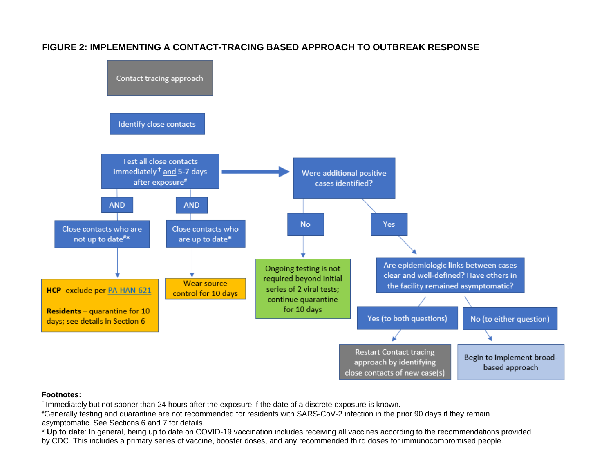

# **FIGURE 2: IMPLEMENTING A CONTACT-TRACING BASED APPROACH TO OUTBREAK RESPONSE**

#### **Footnotes:**

† Immediately but not sooner than 24 hours after the exposure if the date of a discrete exposure is known.

#Generally testing and quarantine are not recommended for residents with SARS-CoV-2 infection in the prior 90 days if they remain asymptomatic. See Sections 6 and 7 for details.

\* **Up to date**: In general, being up to date on COVID-19 vaccination includes receiving all vaccines according to the recommendations provided by CDC. This includes a primary series of vaccine, booster doses, and any recommended third doses for immunocompromised people.